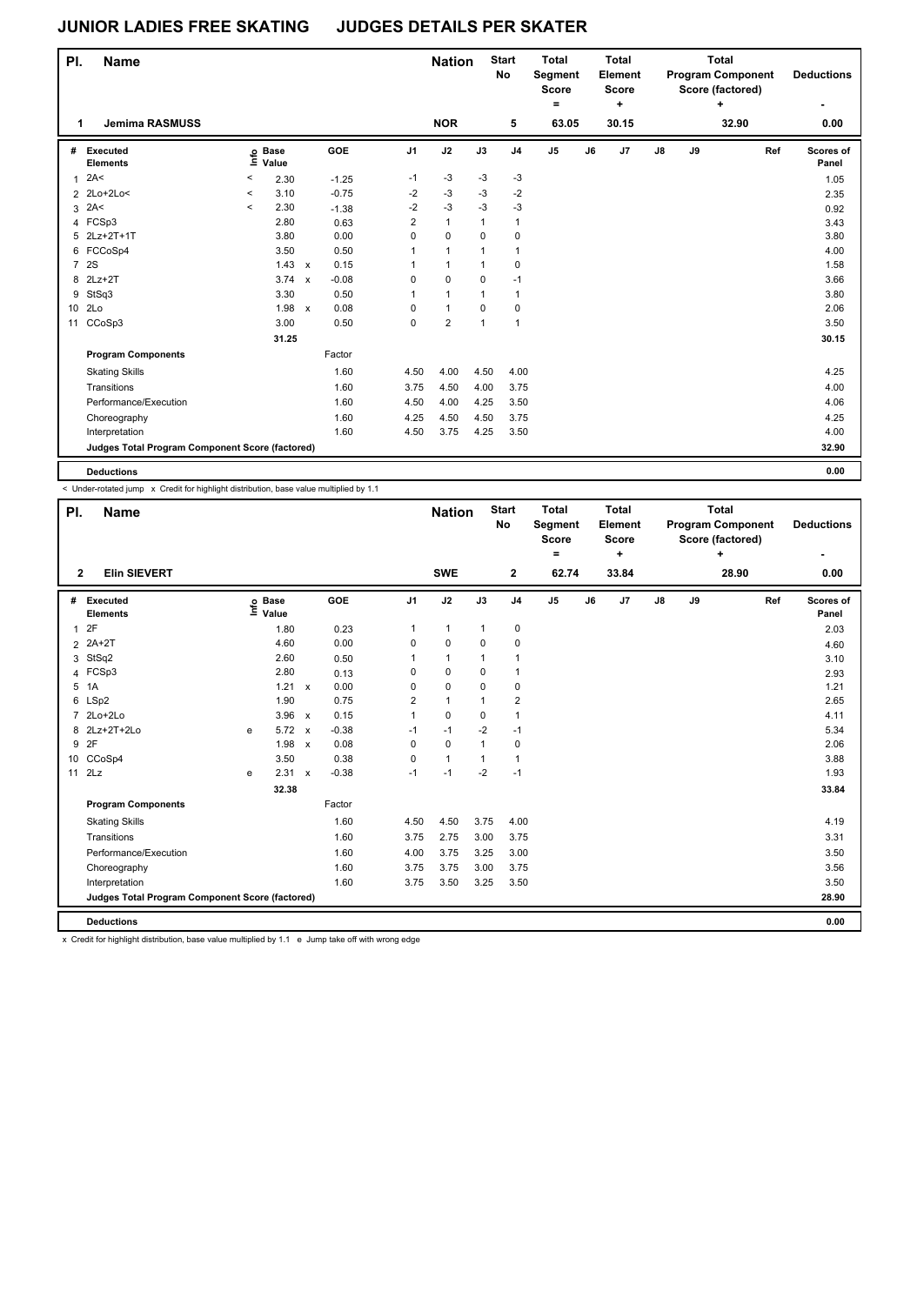| PI.             | <b>Name</b>                                     |         |                      |              |         |                | <b>Nation</b>  |              | <b>Start</b><br>No | <b>Total</b><br>Segment<br><b>Score</b><br>۰ |    | <b>Total</b><br>Element<br><b>Score</b><br>٠ |    |    | <b>Total</b><br><b>Program Component</b><br>Score (factored)<br>٠ | <b>Deductions</b>  |
|-----------------|-------------------------------------------------|---------|----------------------|--------------|---------|----------------|----------------|--------------|--------------------|----------------------------------------------|----|----------------------------------------------|----|----|-------------------------------------------------------------------|--------------------|
| 1.              | <b>Jemima RASMUSS</b>                           |         |                      |              |         |                | <b>NOR</b>     |              | 5                  | 63.05                                        |    | 30.15                                        |    |    | 32.90                                                             | 0.00               |
| #               | Executed<br><b>Elements</b>                     | ١nfo    | <b>Base</b><br>Value |              | GOE     | J <sub>1</sub> | J2             | J3           | J <sub>4</sub>     | J <sub>5</sub>                               | J6 | J <sub>7</sub>                               | J8 | J9 | Ref                                                               | Scores of<br>Panel |
| 1               | 2A<                                             | $\,<\,$ | 2.30                 |              | $-1.25$ | $-1$           | $-3$           | $-3$         | $-3$               |                                              |    |                                              |    |    |                                                                   | 1.05               |
| 2               | $2Lo+2Lo<$                                      | $\,<$   | 3.10                 |              | $-0.75$ | $-2$           | $-3$           | $-3$         | $-2$               |                                              |    |                                              |    |    |                                                                   | 2.35               |
| 3               | 2A<                                             | $\prec$ | 2.30                 |              | $-1.38$ | $-2$           | $-3$           | $-3$         | $-3$               |                                              |    |                                              |    |    |                                                                   | 0.92               |
|                 | 4 FCSp3                                         |         | 2.80                 |              | 0.63    | 2              | $\mathbf{1}$   | 1            | 1                  |                                              |    |                                              |    |    |                                                                   | 3.43               |
|                 | 5 2Lz+2T+1T                                     |         | 3.80                 |              | 0.00    | 0              | $\mathbf 0$    | 0            | 0                  |                                              |    |                                              |    |    |                                                                   | 3.80               |
|                 | 6 FCCoSp4                                       |         | 3.50                 |              | 0.50    | 1              | $\mathbf{1}$   | 1            | 1                  |                                              |    |                                              |    |    |                                                                   | 4.00               |
| $\overline{7}$  | 2S                                              |         | $1.43 \times$        |              | 0.15    | 1              | $\mathbf{1}$   | $\mathbf{1}$ | 0                  |                                              |    |                                              |    |    |                                                                   | 1.58               |
| 8               | $2Lz+2T$                                        |         | 3.74                 | $\mathbf{x}$ | $-0.08$ | 0              | 0              | 0            | $-1$               |                                              |    |                                              |    |    |                                                                   | 3.66               |
| 9               | StSq3                                           |         | 3.30                 |              | 0.50    | 1              | $\mathbf{1}$   | 1            | 1                  |                                              |    |                                              |    |    |                                                                   | 3.80               |
| 10 <sup>1</sup> | 2Lo                                             |         | 1.98                 | $\mathsf{x}$ | 0.08    | 0              | $\mathbf{1}$   | 0            | 0                  |                                              |    |                                              |    |    |                                                                   | 2.06               |
| 11              | CCoSp3                                          |         | 3.00                 |              | 0.50    | 0              | $\overline{2}$ | $\mathbf{1}$ | 1                  |                                              |    |                                              |    |    |                                                                   | 3.50               |
|                 |                                                 |         | 31.25                |              |         |                |                |              |                    |                                              |    |                                              |    |    |                                                                   | 30.15              |
|                 | <b>Program Components</b>                       |         |                      |              | Factor  |                |                |              |                    |                                              |    |                                              |    |    |                                                                   |                    |
|                 | <b>Skating Skills</b>                           |         |                      |              | 1.60    | 4.50           | 4.00           | 4.50         | 4.00               |                                              |    |                                              |    |    |                                                                   | 4.25               |
|                 | Transitions                                     |         |                      |              | 1.60    | 3.75           | 4.50           | 4.00         | 3.75               |                                              |    |                                              |    |    |                                                                   | 4.00               |
|                 | Performance/Execution                           |         |                      |              | 1.60    | 4.50           | 4.00           | 4.25         | 3.50               |                                              |    |                                              |    |    |                                                                   | 4.06               |
|                 | Choreography                                    |         |                      |              | 1.60    | 4.25           | 4.50           | 4.50         | 3.75               |                                              |    |                                              |    |    |                                                                   | 4.25               |
|                 | Interpretation                                  |         |                      |              | 1.60    | 4.50           | 3.75           | 4.25         | 3.50               |                                              |    |                                              |    |    |                                                                   | 4.00               |
|                 | Judges Total Program Component Score (factored) |         |                      |              |         |                |                |              |                    |                                              |    |                                              |    |    |                                                                   | 32.90              |
|                 | <b>Deductions</b>                               |         |                      |              |         |                |                |              |                    |                                              |    |                                              |    |    |                                                                   | 0.00               |

< Under-rotated jump x Credit for highlight distribution, base value multiplied by 1.1

| PI.          | <b>Name</b>                                     |   |                   |                           |            |                | <b>Nation</b> |              | <b>Start</b><br><b>No</b> | <b>Total</b><br>Segment<br><b>Score</b><br>$=$ |    | <b>Total</b><br>Element<br>Score<br>÷ |               |    | <b>Total</b><br><b>Program Component</b><br>Score (factored)<br>÷ |     | <b>Deductions</b>  |
|--------------|-------------------------------------------------|---|-------------------|---------------------------|------------|----------------|---------------|--------------|---------------------------|------------------------------------------------|----|---------------------------------------|---------------|----|-------------------------------------------------------------------|-----|--------------------|
| $\mathbf{2}$ | <b>Elin SIEVERT</b>                             |   |                   |                           |            |                | <b>SWE</b>    |              | $\mathbf{2}$              | 62.74                                          |    | 33.84                                 |               |    | 28.90                                                             |     | 0.00               |
| #            | Executed<br><b>Elements</b>                     |   | e Base<br>E Value |                           | <b>GOE</b> | J <sub>1</sub> | J2            | J3           | J <sub>4</sub>            | J <sub>5</sub>                                 | J6 | J7                                    | $\mathsf{J}8$ | J9 |                                                                   | Ref | Scores of<br>Panel |
| 1            | 2F                                              |   | 1.80              |                           | 0.23       | 1              | $\mathbf{1}$  | 1            | $\mathbf 0$               |                                                |    |                                       |               |    |                                                                   |     | 2.03               |
| 2            | $2A+2T$                                         |   | 4.60              |                           | 0.00       | 0              | $\mathbf 0$   | 0            | $\mathbf 0$               |                                                |    |                                       |               |    |                                                                   |     | 4.60               |
| 3            | StSq2                                           |   | 2.60              |                           | 0.50       | 1              | $\mathbf{1}$  | $\mathbf{1}$ | 1                         |                                                |    |                                       |               |    |                                                                   |     | 3.10               |
|              | 4 FCSp3                                         |   | 2.80              |                           | 0.13       | 0              | 0             | 0            | 1                         |                                                |    |                                       |               |    |                                                                   |     | 2.93               |
|              | 5 1A                                            |   | 1.21 x            |                           | 0.00       | 0              | $\mathbf 0$   | 0            | 0                         |                                                |    |                                       |               |    |                                                                   |     | 1.21               |
|              | 6 LSp2                                          |   | 1.90              |                           | 0.75       | $\overline{2}$ | $\mathbf{1}$  | $\mathbf{1}$ | $\overline{2}$            |                                                |    |                                       |               |    |                                                                   |     | 2.65               |
|              | 7 2Lo+2Lo                                       |   | $3.96 \times$     |                           | 0.15       | 1              | $\mathbf 0$   | $\Omega$     | $\mathbf{1}$              |                                                |    |                                       |               |    |                                                                   |     | 4.11               |
|              | 8 2Lz+2T+2Lo                                    | e | 5.72              | $\boldsymbol{\mathsf{x}}$ | $-0.38$    | $-1$           | $-1$          | $-2$         | $-1$                      |                                                |    |                                       |               |    |                                                                   |     | 5.34               |
| 9            | 2F                                              |   | 1.98              | $\mathsf{x}$              | 0.08       | 0              | $\mathbf 0$   | $\mathbf{1}$ | $\mathbf 0$               |                                                |    |                                       |               |    |                                                                   |     | 2.06               |
| 10           | CCoSp4                                          |   | 3.50              |                           | 0.38       | 0              | $\mathbf{1}$  | $\mathbf{1}$ | $\mathbf{1}$              |                                                |    |                                       |               |    |                                                                   |     | 3.88               |
|              | 11 2Lz                                          | e | 2.31              | $\mathsf{x}$              | $-0.38$    | $-1$           | $-1$          | $-2$         | $-1$                      |                                                |    |                                       |               |    |                                                                   |     | 1.93               |
|              |                                                 |   | 32.38             |                           |            |                |               |              |                           |                                                |    |                                       |               |    |                                                                   |     | 33.84              |
|              | <b>Program Components</b>                       |   |                   |                           | Factor     |                |               |              |                           |                                                |    |                                       |               |    |                                                                   |     |                    |
|              | <b>Skating Skills</b>                           |   |                   |                           | 1.60       | 4.50           | 4.50          | 3.75         | 4.00                      |                                                |    |                                       |               |    |                                                                   |     | 4.19               |
|              | Transitions                                     |   |                   |                           | 1.60       | 3.75           | 2.75          | 3.00         | 3.75                      |                                                |    |                                       |               |    |                                                                   |     | 3.31               |
|              | Performance/Execution                           |   |                   |                           | 1.60       | 4.00           | 3.75          | 3.25         | 3.00                      |                                                |    |                                       |               |    |                                                                   |     | 3.50               |
|              | Choreography                                    |   |                   |                           | 1.60       | 3.75           | 3.75          | 3.00         | 3.75                      |                                                |    |                                       |               |    |                                                                   |     | 3.56               |
|              | Interpretation                                  |   |                   |                           | 1.60       | 3.75           | 3.50          | 3.25         | 3.50                      |                                                |    |                                       |               |    |                                                                   |     | 3.50               |
|              | Judges Total Program Component Score (factored) |   |                   |                           |            |                |               |              |                           |                                                |    |                                       |               |    |                                                                   |     | 28.90              |
|              | <b>Deductions</b>                               |   |                   |                           |            |                |               |              |                           |                                                |    |                                       |               |    |                                                                   |     | 0.00               |

x Credit for highlight distribution, base value multiplied by 1.1 e Jump take off with wrong edge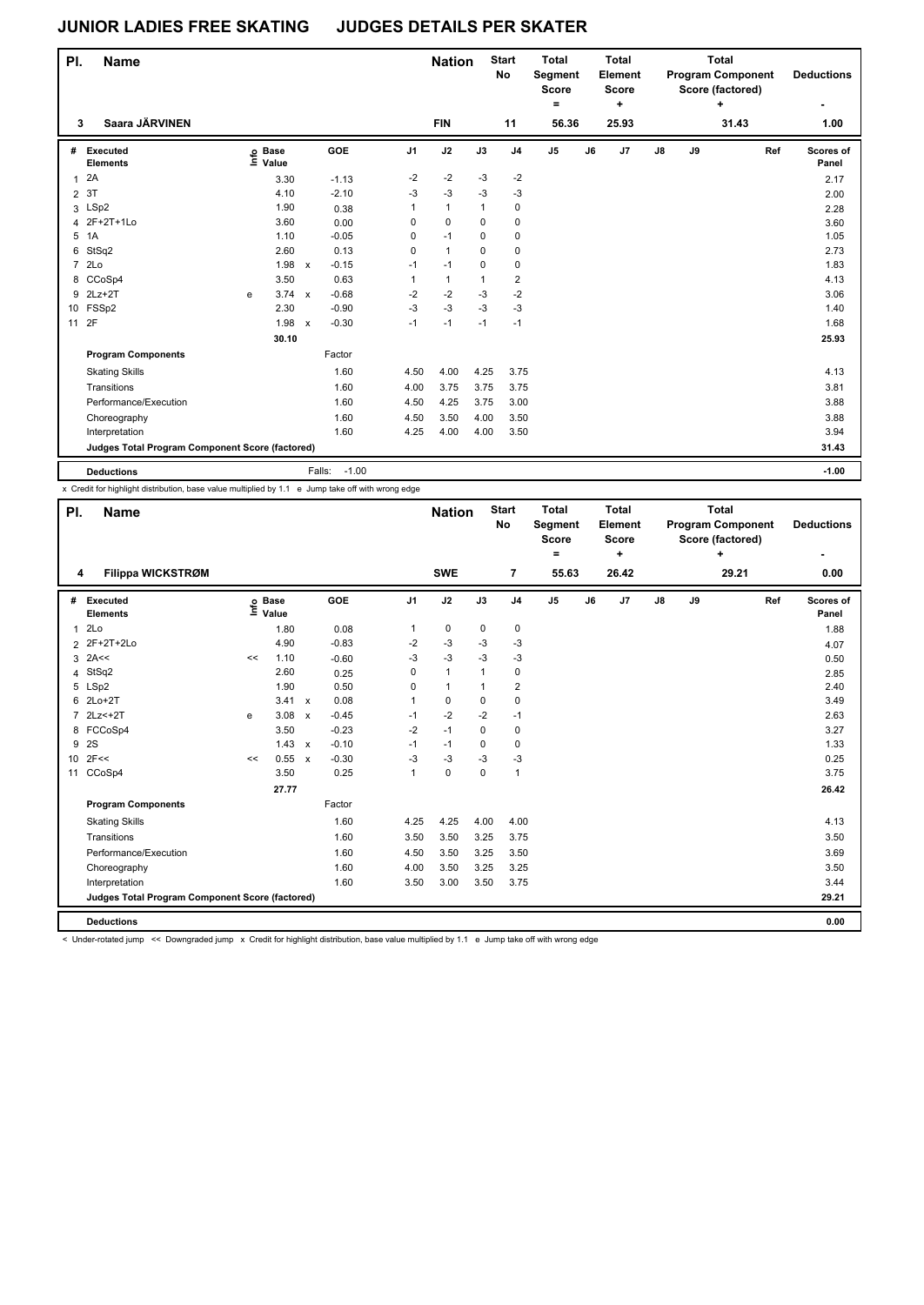| PI.            | <b>Name</b>                                     |      |                      |                |                   |                | <b>Nation</b> |              | <b>Start</b><br>No      | <b>Total</b><br><b>Segment</b><br><b>Score</b><br>= |    | <b>Total</b><br>Element<br><b>Score</b><br>٠ |    |    | <b>Total</b><br><b>Program Component</b><br>Score (factored)<br>$\ddot{}$ |     | <b>Deductions</b>  |
|----------------|-------------------------------------------------|------|----------------------|----------------|-------------------|----------------|---------------|--------------|-------------------------|-----------------------------------------------------|----|----------------------------------------------|----|----|---------------------------------------------------------------------------|-----|--------------------|
| 3              | Saara JÄRVINEN                                  |      |                      |                |                   |                | <b>FIN</b>    |              | 11                      | 56.36                                               |    | 25.93                                        |    |    | 31.43                                                                     |     | 1.00               |
| #              | Executed<br><b>Elements</b>                     | ١nfo | <b>Base</b><br>Value |                | GOE               | J <sub>1</sub> | J2            | J3           | J <sub>4</sub>          | J <sub>5</sub>                                      | J6 | J <sub>7</sub>                               | J8 | J9 |                                                                           | Ref | Scores of<br>Panel |
| 1              | 2A                                              |      | 3.30                 |                | $-1.13$           | $-2$           | $-2$          | $-3$         | $-2$                    |                                                     |    |                                              |    |    |                                                                           |     | 2.17               |
| 2              | 3T                                              |      | 4.10                 |                | $-2.10$           | $-3$           | $-3$          | $-3$         | $-3$                    |                                                     |    |                                              |    |    |                                                                           |     | 2.00               |
| 3              | LSp2                                            |      | 1.90                 |                | 0.38              | 1              | $\mathbf{1}$  | $\mathbf{1}$ | 0                       |                                                     |    |                                              |    |    |                                                                           |     | 2.28               |
| 4              | 2F+2T+1Lo                                       |      | 3.60                 |                | 0.00              | 0              | $\mathbf 0$   | $\mathbf 0$  | 0                       |                                                     |    |                                              |    |    |                                                                           |     | 3.60               |
| 5              | 1A                                              |      | 1.10                 |                | $-0.05$           | 0              | $-1$          | $\Omega$     | 0                       |                                                     |    |                                              |    |    |                                                                           |     | 1.05               |
| 6              | StSq2                                           |      | 2.60                 |                | 0.13              | 0              | $\mathbf{1}$  | $\mathbf 0$  | $\mathbf 0$             |                                                     |    |                                              |    |    |                                                                           |     | 2.73               |
| $\overline{7}$ | 2Lo                                             |      | 1.98                 | $\mathsf{x}$   | $-0.15$           | $-1$           | $-1$          | $\Omega$     | $\pmb{0}$               |                                                     |    |                                              |    |    |                                                                           |     | 1.83               |
|                | 8 CCoSp4                                        |      | 3.50                 |                | 0.63              | 1              | $\mathbf{1}$  | $\mathbf{1}$ | $\overline{\mathbf{c}}$ |                                                     |    |                                              |    |    |                                                                           |     | 4.13               |
|                | 9 2Lz+2T                                        | e    | 3.74                 | $\mathsf{x}$   | $-0.68$           | $-2$           | $-2$          | $-3$         | $-2$                    |                                                     |    |                                              |    |    |                                                                           |     | 3.06               |
| 10             | FSSp2                                           |      | 2.30                 |                | $-0.90$           | $-3$           | $-3$          | $-3$         | $-3$                    |                                                     |    |                                              |    |    |                                                                           |     | 1.40               |
| 11             | 2F                                              |      | 1.98                 | $\pmb{\times}$ | $-0.30$           | $-1$           | $-1$          | $-1$         | $-1$                    |                                                     |    |                                              |    |    |                                                                           |     | 1.68               |
|                |                                                 |      | 30.10                |                |                   |                |               |              |                         |                                                     |    |                                              |    |    |                                                                           |     | 25.93              |
|                | <b>Program Components</b>                       |      |                      |                | Factor            |                |               |              |                         |                                                     |    |                                              |    |    |                                                                           |     |                    |
|                | <b>Skating Skills</b>                           |      |                      |                | 1.60              | 4.50           | 4.00          | 4.25         | 3.75                    |                                                     |    |                                              |    |    |                                                                           |     | 4.13               |
|                | Transitions                                     |      |                      |                | 1.60              | 4.00           | 3.75          | 3.75         | 3.75                    |                                                     |    |                                              |    |    |                                                                           |     | 3.81               |
|                | Performance/Execution                           |      |                      |                | 1.60              | 4.50           | 4.25          | 3.75         | 3.00                    |                                                     |    |                                              |    |    |                                                                           |     | 3.88               |
|                | Choreography                                    |      |                      |                | 1.60              | 4.50           | 3.50          | 4.00         | 3.50                    |                                                     |    |                                              |    |    |                                                                           |     | 3.88               |
|                | Interpretation                                  |      |                      |                | 1.60              | 4.25           | 4.00          | 4.00         | 3.50                    |                                                     |    |                                              |    |    |                                                                           |     | 3.94               |
|                | Judges Total Program Component Score (factored) |      |                      |                |                   |                |               |              |                         |                                                     |    |                                              |    |    |                                                                           |     | 31.43              |
|                | <b>Deductions</b>                               |      |                      |                | $-1.00$<br>Falls: |                |               |              |                         |                                                     |    |                                              |    |    |                                                                           |     | $-1.00$            |

x Credit for highlight distribution, base value multiplied by 1.1 e Jump take off with wrong edge

| PI.             | <b>Name</b>                                     |    |                            |              |         |                | <b>Nation</b> |              | <b>Start</b><br>No | <b>Total</b><br>Segment<br>Score<br>۰ |    | <b>Total</b><br>Element<br><b>Score</b><br>٠ |    |    | <b>Total</b><br><b>Program Component</b><br>Score (factored)<br>÷ |     | <b>Deductions</b>  |
|-----------------|-------------------------------------------------|----|----------------------------|--------------|---------|----------------|---------------|--------------|--------------------|---------------------------------------|----|----------------------------------------------|----|----|-------------------------------------------------------------------|-----|--------------------|
| 4               | <b>Filippa WICKSTRØM</b>                        |    |                            |              |         |                | <b>SWE</b>    |              | $\overline{7}$     | 55.63                                 |    | 26.42                                        |    |    | 29.21                                                             |     | 0.00               |
| #               | Executed<br><b>Elements</b>                     |    | e Base<br>E Value<br>Value |              | GOE     | J <sub>1</sub> | J2            | J3           | J <sub>4</sub>     | J <sub>5</sub>                        | J6 | J7                                           | J8 | J9 |                                                                   | Ref | Scores of<br>Panel |
| 1               | 2Lo                                             |    | 1.80                       |              | 0.08    | 1              | $\pmb{0}$     | 0            | $\mathbf 0$        |                                       |    |                                              |    |    |                                                                   |     | 1.88               |
|                 | 2 2F+2T+2Lo                                     |    | 4.90                       |              | $-0.83$ | $-2$           | $-3$          | -3           | $-3$               |                                       |    |                                              |    |    |                                                                   |     | 4.07               |
| 3               | 2A<<                                            | << | 1.10                       |              | $-0.60$ | $-3$           | $-3$          | -3           | -3                 |                                       |    |                                              |    |    |                                                                   |     | 0.50               |
| 4               | StSq2                                           |    | 2.60                       |              | 0.25    | $\mathbf 0$    | $\mathbf{1}$  | $\mathbf{1}$ | $\mathbf 0$        |                                       |    |                                              |    |    |                                                                   |     | 2.85               |
|                 | 5 LSp2                                          |    | 1.90                       |              | 0.50    | 0              | $\mathbf{1}$  | 1            | $\overline{2}$     |                                       |    |                                              |    |    |                                                                   |     | 2.40               |
| 6               | $2Lo+2T$                                        |    | 3.41                       | $\mathsf{x}$ | 0.08    | 1              | $\mathbf 0$   | $\mathbf 0$  | $\mathbf 0$        |                                       |    |                                              |    |    |                                                                   |     | 3.49               |
|                 | 2Lz<+2T                                         | e  | 3.08                       | $\mathsf{x}$ | $-0.45$ | $-1$           | $-2$          | $-2$         | $-1$               |                                       |    |                                              |    |    |                                                                   |     | 2.63               |
|                 | 8 FCCoSp4                                       |    | 3.50                       |              | $-0.23$ | $-2$           | $-1$          | $\Omega$     | 0                  |                                       |    |                                              |    |    |                                                                   |     | 3.27               |
| 9               | 2S                                              |    | 1.43                       | $\mathsf{x}$ | $-0.10$ | $-1$           | $-1$          | 0            | $\mathbf 0$        |                                       |    |                                              |    |    |                                                                   |     | 1.33               |
| 10 <sup>1</sup> | 2F<<                                            | << | 0.55                       | $\mathsf{x}$ | $-0.30$ | $-3$           | $-3$          | -3           | $-3$               |                                       |    |                                              |    |    |                                                                   |     | 0.25               |
| 11              | CCoSp4                                          |    | 3.50                       |              | 0.25    | 1              | $\mathbf 0$   | $\mathbf 0$  | $\mathbf{1}$       |                                       |    |                                              |    |    |                                                                   |     | 3.75               |
|                 |                                                 |    | 27.77                      |              |         |                |               |              |                    |                                       |    |                                              |    |    |                                                                   |     | 26.42              |
|                 | <b>Program Components</b>                       |    |                            |              | Factor  |                |               |              |                    |                                       |    |                                              |    |    |                                                                   |     |                    |
|                 | <b>Skating Skills</b>                           |    |                            |              | 1.60    | 4.25           | 4.25          | 4.00         | 4.00               |                                       |    |                                              |    |    |                                                                   |     | 4.13               |
|                 | Transitions                                     |    |                            |              | 1.60    | 3.50           | 3.50          | 3.25         | 3.75               |                                       |    |                                              |    |    |                                                                   |     | 3.50               |
|                 | Performance/Execution                           |    |                            |              | 1.60    | 4.50           | 3.50          | 3.25         | 3.50               |                                       |    |                                              |    |    |                                                                   |     | 3.69               |
|                 | Choreography                                    |    |                            |              | 1.60    | 4.00           | 3.50          | 3.25         | 3.25               |                                       |    |                                              |    |    |                                                                   |     | 3.50               |
|                 | Interpretation                                  |    |                            |              | 1.60    | 3.50           | 3.00          | 3.50         | 3.75               |                                       |    |                                              |    |    |                                                                   |     | 3.44               |
|                 | Judges Total Program Component Score (factored) |    |                            |              |         |                |               |              |                    |                                       |    |                                              |    |    |                                                                   |     | 29.21              |
|                 | <b>Deductions</b>                               |    |                            |              |         |                |               |              |                    |                                       |    |                                              |    |    |                                                                   |     | 0.00               |

< Under-rotated jump << Downgraded jump x Credit for highlight distribution, base value multiplied by 1.1 e Jump take off with wrong edge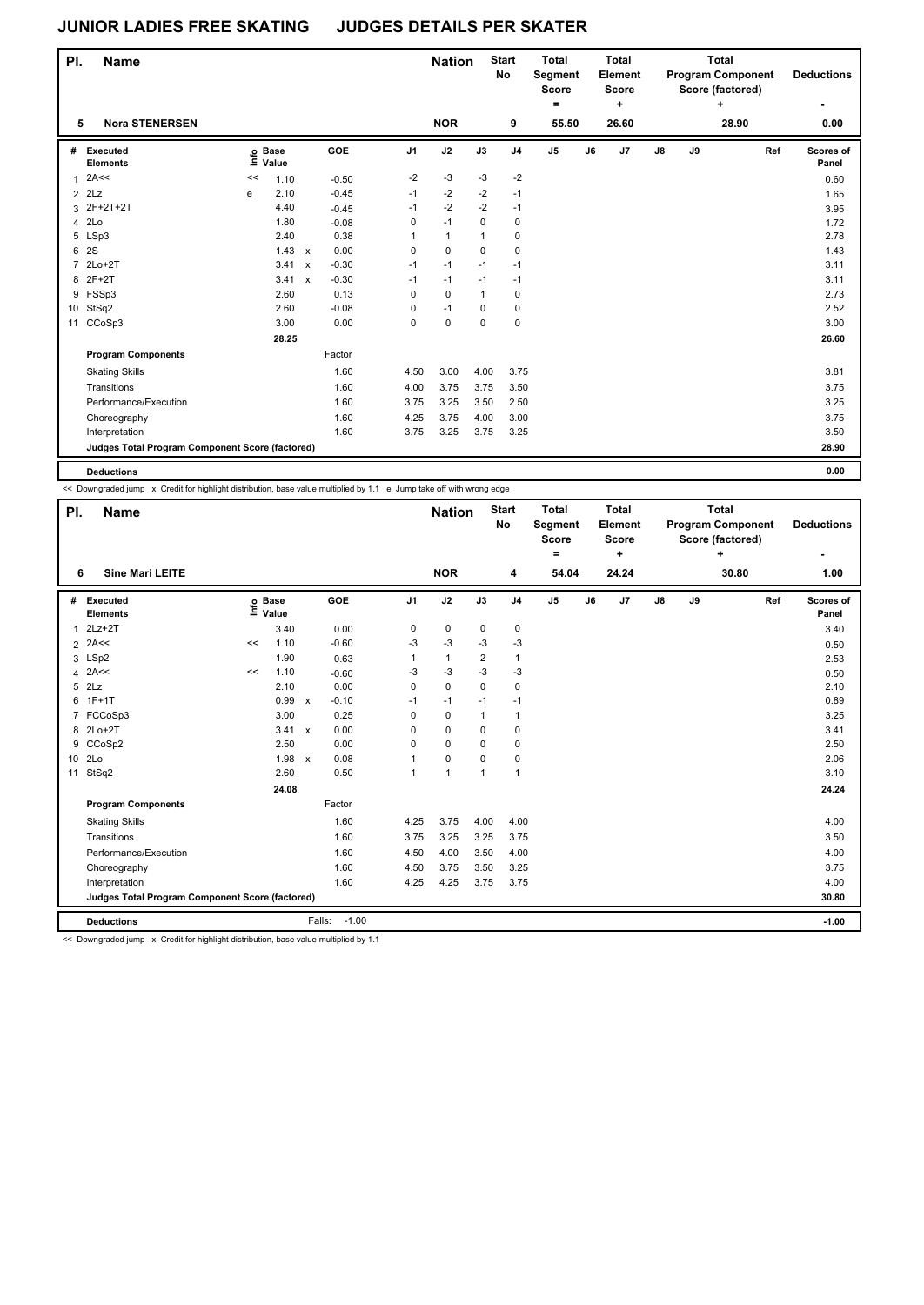| PI.            | Name                                            |      |                      |                           |         |                | <b>Nation</b> |              | <b>Start</b><br>No | <b>Total</b><br>Segment<br><b>Score</b><br>$=$ |    | <b>Total</b><br>Element<br><b>Score</b><br>٠ |    |    | <b>Total</b><br><b>Program Component</b><br>Score (factored)<br>٠ | <b>Deductions</b>  |
|----------------|-------------------------------------------------|------|----------------------|---------------------------|---------|----------------|---------------|--------------|--------------------|------------------------------------------------|----|----------------------------------------------|----|----|-------------------------------------------------------------------|--------------------|
| 5              | <b>Nora STENERSEN</b>                           |      |                      |                           |         |                | <b>NOR</b>    |              | 9                  | 55.50                                          |    | 26.60                                        |    |    | 28.90                                                             | 0.00               |
| #              | Executed<br><b>Elements</b>                     | ١nfo | <b>Base</b><br>Value |                           | GOE     | J <sub>1</sub> | J2            | J3           | J <sub>4</sub>     | J <sub>5</sub>                                 | J6 | J7                                           | J8 | J9 | Ref                                                               | Scores of<br>Panel |
| 1              | 2A<<                                            | <<   | 1.10                 |                           | $-0.50$ | $-2$           | $-3$          | $-3$         | $-2$               |                                                |    |                                              |    |    |                                                                   | 0.60               |
| $\overline{2}$ | 2Lz                                             | e    | 2.10                 |                           | $-0.45$ | $-1$           | $-2$          | $-2$         | $-1$               |                                                |    |                                              |    |    |                                                                   | 1.65               |
| 3              | 2F+2T+2T                                        |      | 4.40                 |                           | $-0.45$ | $-1$           | $-2$          | $-2$         | $-1$               |                                                |    |                                              |    |    |                                                                   | 3.95               |
| 4              | 2Lo                                             |      | 1.80                 |                           | $-0.08$ | 0              | $-1$          | 0            | 0                  |                                                |    |                                              |    |    |                                                                   | 1.72               |
| 5              | LSp3                                            |      | 2.40                 |                           | 0.38    | 1              | $\mathbf{1}$  | 1            | 0                  |                                                |    |                                              |    |    |                                                                   | 2.78               |
| 6              | 2S                                              |      | 1.43                 | $\mathsf{x}$              | 0.00    | 0              | $\mathbf 0$   | 0            | 0                  |                                                |    |                                              |    |    |                                                                   | 1.43               |
| 7              | $2Lo+2T$                                        |      | 3.41                 | $\boldsymbol{\mathsf{x}}$ | $-0.30$ | $-1$           | $-1$          | $-1$         | $-1$               |                                                |    |                                              |    |    |                                                                   | 3.11               |
| 8              | $2F+2T$                                         |      | 3.41                 | $\boldsymbol{\mathsf{x}}$ | $-0.30$ | $-1$           | $-1$          | $-1$         | $-1$               |                                                |    |                                              |    |    |                                                                   | 3.11               |
| 9              | FSSp3                                           |      | 2.60                 |                           | 0.13    | 0              | $\mathbf 0$   | $\mathbf{1}$ | 0                  |                                                |    |                                              |    |    |                                                                   | 2.73               |
| 10             | StSq2                                           |      | 2.60                 |                           | $-0.08$ | 0              | $-1$          | 0            | 0                  |                                                |    |                                              |    |    |                                                                   | 2.52               |
| 11             | CCoSp3                                          |      | 3.00                 |                           | 0.00    | 0              | 0             | 0            | 0                  |                                                |    |                                              |    |    |                                                                   | 3.00               |
|                |                                                 |      | 28.25                |                           |         |                |               |              |                    |                                                |    |                                              |    |    |                                                                   | 26.60              |
|                | <b>Program Components</b>                       |      |                      |                           | Factor  |                |               |              |                    |                                                |    |                                              |    |    |                                                                   |                    |
|                | <b>Skating Skills</b>                           |      |                      |                           | 1.60    | 4.50           | 3.00          | 4.00         | 3.75               |                                                |    |                                              |    |    |                                                                   | 3.81               |
|                | Transitions                                     |      |                      |                           | 1.60    | 4.00           | 3.75          | 3.75         | 3.50               |                                                |    |                                              |    |    |                                                                   | 3.75               |
|                | Performance/Execution                           |      |                      |                           | 1.60    | 3.75           | 3.25          | 3.50         | 2.50               |                                                |    |                                              |    |    |                                                                   | 3.25               |
|                | Choreography                                    |      |                      |                           | 1.60    | 4.25           | 3.75          | 4.00         | 3.00               |                                                |    |                                              |    |    |                                                                   | 3.75               |
|                | Interpretation                                  |      |                      |                           | 1.60    | 3.75           | 3.25          | 3.75         | 3.25               |                                                |    |                                              |    |    |                                                                   | 3.50               |
|                | Judges Total Program Component Score (factored) |      |                      |                           |         |                |               |              |                    |                                                |    |                                              |    |    |                                                                   | 28.90              |
|                | <b>Deductions</b>                               |      |                      |                           |         |                |               |              |                    |                                                |    |                                              |    |    |                                                                   | 0.00               |

<< Downgraded jump x Credit for highlight distribution, base value multiplied by 1.1 e Jump take off with wrong edge

| PI.          | <b>Name</b>                                     |    |                            |                         |          | <b>Nation</b> |              | <b>Start</b><br>No | <b>Total</b><br>Segment<br><b>Score</b><br>= |    | <b>Total</b><br>Element<br><b>Score</b><br>٠ |               |    | <b>Total</b><br><b>Program Component</b><br>Score (factored)<br>÷ |     | <b>Deductions</b>  |
|--------------|-------------------------------------------------|----|----------------------------|-------------------------|----------|---------------|--------------|--------------------|----------------------------------------------|----|----------------------------------------------|---------------|----|-------------------------------------------------------------------|-----|--------------------|
| 6            | <b>Sine Mari LEITE</b>                          |    |                            |                         |          | <b>NOR</b>    |              | 4                  | 54.04                                        |    | 24.24                                        |               |    | 30.80                                                             |     | 1.00               |
| #            | Executed<br><b>Elements</b>                     |    | e Base<br>E Value<br>Value | GOE                     | J1       | J2            | J3           | J <sub>4</sub>     | J <sub>5</sub>                               | J6 | J7                                           | $\mathsf{J}8$ | J9 |                                                                   | Ref | Scores of<br>Panel |
| $\mathbf{1}$ | $2Lz+2T$                                        |    | 3.40                       | 0.00                    | 0        | $\pmb{0}$     | $\mathbf 0$  | $\mathbf 0$        |                                              |    |                                              |               |    |                                                                   |     | 3.40               |
|              | $2$ 2A<<                                        | << | 1.10                       | $-0.60$                 | -3       | $-3$          | -3           | $-3$               |                                              |    |                                              |               |    |                                                                   |     | 0.50               |
|              | 3 LSp2                                          |    | 1.90                       | 0.63                    | 1        | $\mathbf{1}$  | 2            | $\mathbf{1}$       |                                              |    |                                              |               |    |                                                                   |     | 2.53               |
| 4            | 2A<<                                            | << | 1.10                       | $-0.60$                 | -3       | $-3$          | -3           | $-3$               |                                              |    |                                              |               |    |                                                                   |     | 0.50               |
| 5            | 2Lz                                             |    | 2.10                       | 0.00                    | 0        | $\mathbf 0$   | 0            | 0                  |                                              |    |                                              |               |    |                                                                   |     | 2.10               |
| 6            | $1F+1T$                                         |    | 0.99                       | $-0.10$<br>$\mathsf{x}$ | $-1$     | $-1$          | $-1$         | $-1$               |                                              |    |                                              |               |    |                                                                   |     | 0.89               |
|              | 7 FCCoSp3                                       |    | 3.00                       | 0.25                    | $\Omega$ | 0             | $\mathbf{1}$ | $\mathbf{1}$       |                                              |    |                                              |               |    |                                                                   |     | 3.25               |
|              | 8 2Lo+2T                                        |    | 3.41                       | 0.00<br>$\mathsf{x}$    | 0        | $\mathbf 0$   | 0            | $\mathbf 0$        |                                              |    |                                              |               |    |                                                                   |     | 3.41               |
| 9            | CCoSp2                                          |    | 2.50                       | 0.00                    | 0        | $\mathbf 0$   | $\Omega$     | $\mathbf 0$        |                                              |    |                                              |               |    |                                                                   |     | 2.50               |
| 10           | 2Lo                                             |    | 1.98                       | 0.08<br>$\mathsf{x}$    | 1        | 0             | 0            | 0                  |                                              |    |                                              |               |    |                                                                   |     | 2.06               |
| 11           | StSq2                                           |    | 2.60                       | 0.50                    | 1        | $\mathbf{1}$  | $\mathbf{1}$ | $\mathbf{1}$       |                                              |    |                                              |               |    |                                                                   |     | 3.10               |
|              |                                                 |    | 24.08                      |                         |          |               |              |                    |                                              |    |                                              |               |    |                                                                   |     | 24.24              |
|              | <b>Program Components</b>                       |    |                            | Factor                  |          |               |              |                    |                                              |    |                                              |               |    |                                                                   |     |                    |
|              | <b>Skating Skills</b>                           |    |                            | 1.60                    | 4.25     | 3.75          | 4.00         | 4.00               |                                              |    |                                              |               |    |                                                                   |     | 4.00               |
|              | Transitions                                     |    |                            | 1.60                    | 3.75     | 3.25          | 3.25         | 3.75               |                                              |    |                                              |               |    |                                                                   |     | 3.50               |
|              | Performance/Execution                           |    |                            | 1.60                    | 4.50     | 4.00          | 3.50         | 4.00               |                                              |    |                                              |               |    |                                                                   |     | 4.00               |
|              | Choreography                                    |    |                            | 1.60                    | 4.50     | 3.75          | 3.50         | 3.25               |                                              |    |                                              |               |    |                                                                   |     | 3.75               |
|              | Interpretation                                  |    |                            | 1.60                    | 4.25     | 4.25          | 3.75         | 3.75               |                                              |    |                                              |               |    |                                                                   |     | 4.00               |
|              | Judges Total Program Component Score (factored) |    |                            |                         |          |               |              |                    |                                              |    |                                              |               |    |                                                                   |     | 30.80              |
|              | <b>Deductions</b>                               |    |                            | Falls:                  | $-1.00$  |               |              |                    |                                              |    |                                              |               |    |                                                                   |     | $-1.00$            |

<< Downgraded jump x Credit for highlight distribution, base value multiplied by 1.1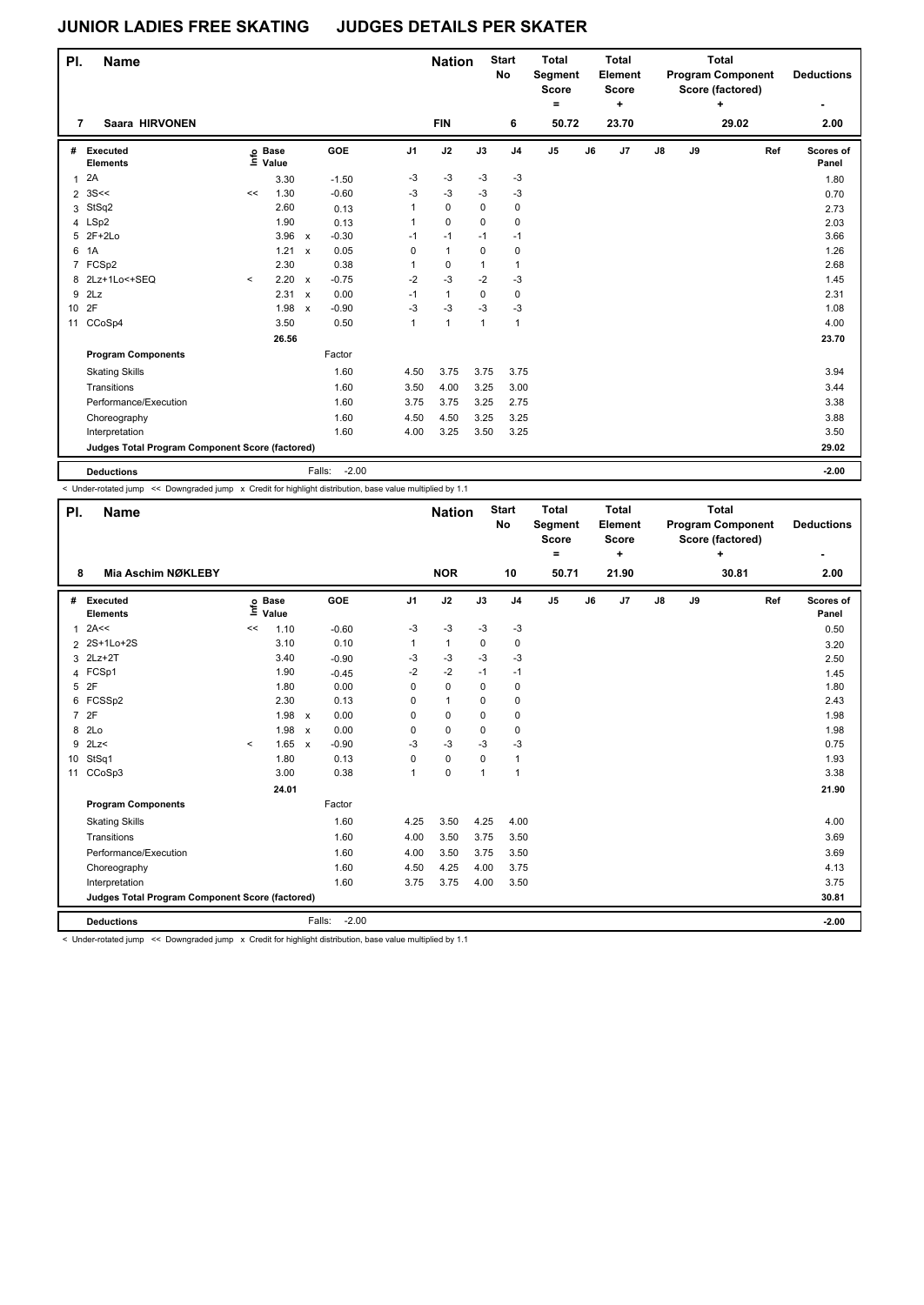| PI. | <b>Name</b>                                     |         |                      | <b>Nation</b> |                   | <b>Start</b><br>No | <b>Total</b><br><b>Segment</b><br><b>Score</b><br>= |                | <b>Total</b><br>Element<br>Score<br>٠ |       |    | <b>Total</b><br><b>Program Component</b><br>Score (factored)<br>٠ |    | <b>Deductions</b> |       |     |                    |
|-----|-------------------------------------------------|---------|----------------------|---------------|-------------------|--------------------|-----------------------------------------------------|----------------|---------------------------------------|-------|----|-------------------------------------------------------------------|----|-------------------|-------|-----|--------------------|
| 7   | Saara HIRVONEN                                  |         |                      |               |                   |                    | <b>FIN</b>                                          |                | 6                                     | 50.72 |    | 23.70                                                             |    |                   | 29.02 |     | 2.00               |
| #   | Executed<br><b>Elements</b>                     | ١nfo    | <b>Base</b><br>Value |               | GOE               | J <sub>1</sub>     | J2                                                  | J3             | J <sub>4</sub>                        | J5    | J6 | J7                                                                | J8 | J9                |       | Ref | Scores of<br>Panel |
| 1   | 2A                                              |         | 3.30                 |               | $-1.50$           | $-3$               | $-3$                                                | $-3$           | $-3$                                  |       |    |                                                                   |    |                   |       |     | 1.80               |
| 2   | 3S<<                                            | <<      | 1.30                 |               | $-0.60$           | $-3$               | $-3$                                                | $-3$           | $-3$                                  |       |    |                                                                   |    |                   |       |     | 0.70               |
| 3   | StSq2                                           |         | 2.60                 |               | 0.13              | 1                  | $\mathbf 0$                                         | 0              | 0                                     |       |    |                                                                   |    |                   |       |     | 2.73               |
|     | 4 LSp2                                          |         | 1.90                 |               | 0.13              | 1                  | $\mathbf 0$                                         | $\mathbf 0$    | 0                                     |       |    |                                                                   |    |                   |       |     | 2.03               |
|     | 5 2F+2Lo                                        |         | 3.96                 | $\mathsf{x}$  | $-0.30$           | $-1$               | $-1$                                                | $-1$           | $-1$                                  |       |    |                                                                   |    |                   |       |     | 3.66               |
| 6   | 1A                                              |         | 1.21                 | $\mathsf{x}$  | 0.05              | 0                  | $\mathbf{1}$                                        | $\mathbf 0$    | $\mathbf 0$                           |       |    |                                                                   |    |                   |       |     | 1.26               |
| 7   | FCSp2                                           |         | 2.30                 |               | 0.38              | 1                  | 0                                                   | 1              | 1                                     |       |    |                                                                   |    |                   |       |     | 2.68               |
|     | 8 2Lz+1Lo<+SEQ                                  | $\prec$ | 2.20                 | $\mathsf{x}$  | $-0.75$           | $-2$               | $-3$                                                | $-2$           | $-3$                                  |       |    |                                                                   |    |                   |       |     | 1.45               |
| 9   | 2Lz                                             |         | 2.31                 | $\mathsf{x}$  | 0.00              | $-1$               | $\mathbf{1}$                                        | 0              | 0                                     |       |    |                                                                   |    |                   |       |     | 2.31               |
| 10  | 2F                                              |         | 1.98                 | $\mathsf{x}$  | $-0.90$           | $-3$               | $-3$                                                | $-3$           | $-3$                                  |       |    |                                                                   |    |                   |       |     | 1.08               |
| 11  | CCoSp4                                          |         | 3.50                 |               | 0.50              | 1                  | 1                                                   | $\overline{1}$ | $\mathbf{1}$                          |       |    |                                                                   |    |                   |       |     | 4.00               |
|     |                                                 |         | 26.56                |               |                   |                    |                                                     |                |                                       |       |    |                                                                   |    |                   |       |     | 23.70              |
|     | <b>Program Components</b>                       |         |                      |               | Factor            |                    |                                                     |                |                                       |       |    |                                                                   |    |                   |       |     |                    |
|     | <b>Skating Skills</b>                           |         |                      |               | 1.60              | 4.50               | 3.75                                                | 3.75           | 3.75                                  |       |    |                                                                   |    |                   |       |     | 3.94               |
|     | Transitions                                     |         |                      |               | 1.60              | 3.50               | 4.00                                                | 3.25           | 3.00                                  |       |    |                                                                   |    |                   |       |     | 3.44               |
|     | Performance/Execution                           |         |                      |               | 1.60              | 3.75               | 3.75                                                | 3.25           | 2.75                                  |       |    |                                                                   |    |                   |       |     | 3.38               |
|     | Choreography                                    |         |                      |               | 1.60              | 4.50               | 4.50                                                | 3.25           | 3.25                                  |       |    |                                                                   |    |                   |       |     | 3.88               |
|     | Interpretation                                  |         |                      |               | 1.60              | 4.00               | 3.25                                                | 3.50           | 3.25                                  |       |    |                                                                   |    |                   |       |     | 3.50               |
|     | Judges Total Program Component Score (factored) |         |                      |               |                   |                    |                                                     |                |                                       |       |    |                                                                   |    |                   |       |     | 29.02              |
|     | <b>Deductions</b>                               |         |                      |               | $-2.00$<br>Falls: |                    |                                                     |                |                                       |       |    |                                                                   |    |                   |       |     | $-2.00$            |

< Under-rotated jump << Downgraded jump x Credit for highlight distribution, base value multiplied by 1.1

| PI. | <b>Name</b>                                     |         |                            |                                      |              | <b>Nation</b> |              | <b>Start</b><br>No | <b>Total</b><br>Segment<br><b>Score</b><br>۰ |    | <b>Total</b><br>Element<br><b>Score</b><br>٠ |               |    | <b>Total</b><br><b>Program Component</b><br>Score (factored)<br>÷ |     | <b>Deductions</b>  |
|-----|-------------------------------------------------|---------|----------------------------|--------------------------------------|--------------|---------------|--------------|--------------------|----------------------------------------------|----|----------------------------------------------|---------------|----|-------------------------------------------------------------------|-----|--------------------|
| 8   | Mia Aschim NØKLEBY                              |         |                            |                                      |              | <b>NOR</b>    |              | 10                 | 50.71                                        |    | 21.90                                        |               |    | 30.81                                                             |     | 2.00               |
| #   | Executed<br><b>Elements</b>                     |         | e Base<br>E Value<br>Value | <b>GOE</b>                           | J1           | J2            | J3           | J <sub>4</sub>     | J <sub>5</sub>                               | J6 | J7                                           | $\mathsf{J}8$ | J9 |                                                                   | Ref | Scores of<br>Panel |
| 1   | 2A<<                                            | <<      | 1.10                       | $-0.60$                              | $-3$         | $-3$          | $-3$         | $-3$               |                                              |    |                                              |               |    |                                                                   |     | 0.50               |
|     | 2 2S+1Lo+2S                                     |         | 3.10                       | 0.10                                 | 1            | 1             | 0            | 0                  |                                              |    |                                              |               |    |                                                                   |     | 3.20               |
| 3   | $2Lz+2T$                                        |         | 3.40                       | $-0.90$                              | -3           | $-3$          | $-3$         | $-3$               |                                              |    |                                              |               |    |                                                                   |     | 2.50               |
|     | 4 FCSp1                                         |         | 1.90                       | $-0.45$                              | $-2$         | $-2$          | $-1$         | $-1$               |                                              |    |                                              |               |    |                                                                   |     | 1.45               |
| 5   | 2F                                              |         | 1.80                       | 0.00                                 | 0            | $\mathbf 0$   | 0            | $\mathbf 0$        |                                              |    |                                              |               |    |                                                                   |     | 1.80               |
| 6   | FCSSp2                                          |         | 2.30                       | 0.13                                 | 0            | $\mathbf{1}$  | 0            | 0                  |                                              |    |                                              |               |    |                                                                   |     | 2.43               |
|     | 7 2F                                            |         | 1.98                       | 0.00<br>$\boldsymbol{\mathsf{x}}$    | 0            | $\mathbf 0$   | 0            | $\mathbf 0$        |                                              |    |                                              |               |    |                                                                   |     | 1.98               |
| 8   | 2 <sub>0</sub>                                  |         | 1.98                       | 0.00<br>$\boldsymbol{\mathsf{x}}$    | 0            | $\mathbf 0$   | 0            | 0                  |                                              |    |                                              |               |    |                                                                   |     | 1.98               |
| 9   | 2Lz                                             | $\prec$ | 1.65                       | $-0.90$<br>$\boldsymbol{\mathsf{x}}$ | $-3$         | -3            | $-3$         | $-3$               |                                              |    |                                              |               |    |                                                                   |     | 0.75               |
|     | 10 StSq1                                        |         | 1.80                       | 0.13                                 | 0            | $\mathbf 0$   | 0            | 1                  |                                              |    |                                              |               |    |                                                                   |     | 1.93               |
|     | 11 CCoSp3                                       |         | 3.00                       | 0.38                                 | $\mathbf{1}$ | $\mathbf 0$   | $\mathbf{1}$ | $\mathbf{1}$       |                                              |    |                                              |               |    |                                                                   |     | 3.38               |
|     |                                                 |         | 24.01                      |                                      |              |               |              |                    |                                              |    |                                              |               |    |                                                                   |     | 21.90              |
|     | <b>Program Components</b>                       |         |                            | Factor                               |              |               |              |                    |                                              |    |                                              |               |    |                                                                   |     |                    |
|     | <b>Skating Skills</b>                           |         |                            | 1.60                                 | 4.25         | 3.50          | 4.25         | 4.00               |                                              |    |                                              |               |    |                                                                   |     | 4.00               |
|     | Transitions                                     |         |                            | 1.60                                 | 4.00         | 3.50          | 3.75         | 3.50               |                                              |    |                                              |               |    |                                                                   |     | 3.69               |
|     | Performance/Execution                           |         |                            | 1.60                                 | 4.00         | 3.50          | 3.75         | 3.50               |                                              |    |                                              |               |    |                                                                   |     | 3.69               |
|     | Choreography                                    |         |                            | 1.60                                 | 4.50         | 4.25          | 4.00         | 3.75               |                                              |    |                                              |               |    |                                                                   |     | 4.13               |
|     | Interpretation                                  |         |                            | 1.60                                 | 3.75         | 3.75          | 4.00         | 3.50               |                                              |    |                                              |               |    |                                                                   |     | 3.75               |
|     | Judges Total Program Component Score (factored) |         |                            |                                      |              |               |              |                    |                                              |    |                                              |               |    |                                                                   |     | 30.81              |
|     | <b>Deductions</b>                               |         |                            | $-2.00$<br>Falls:                    |              |               |              |                    |                                              |    |                                              |               |    |                                                                   |     | $-2.00$            |

< Under-rotated jump << Downgraded jump x Credit for highlight distribution, base value multiplied by 1.1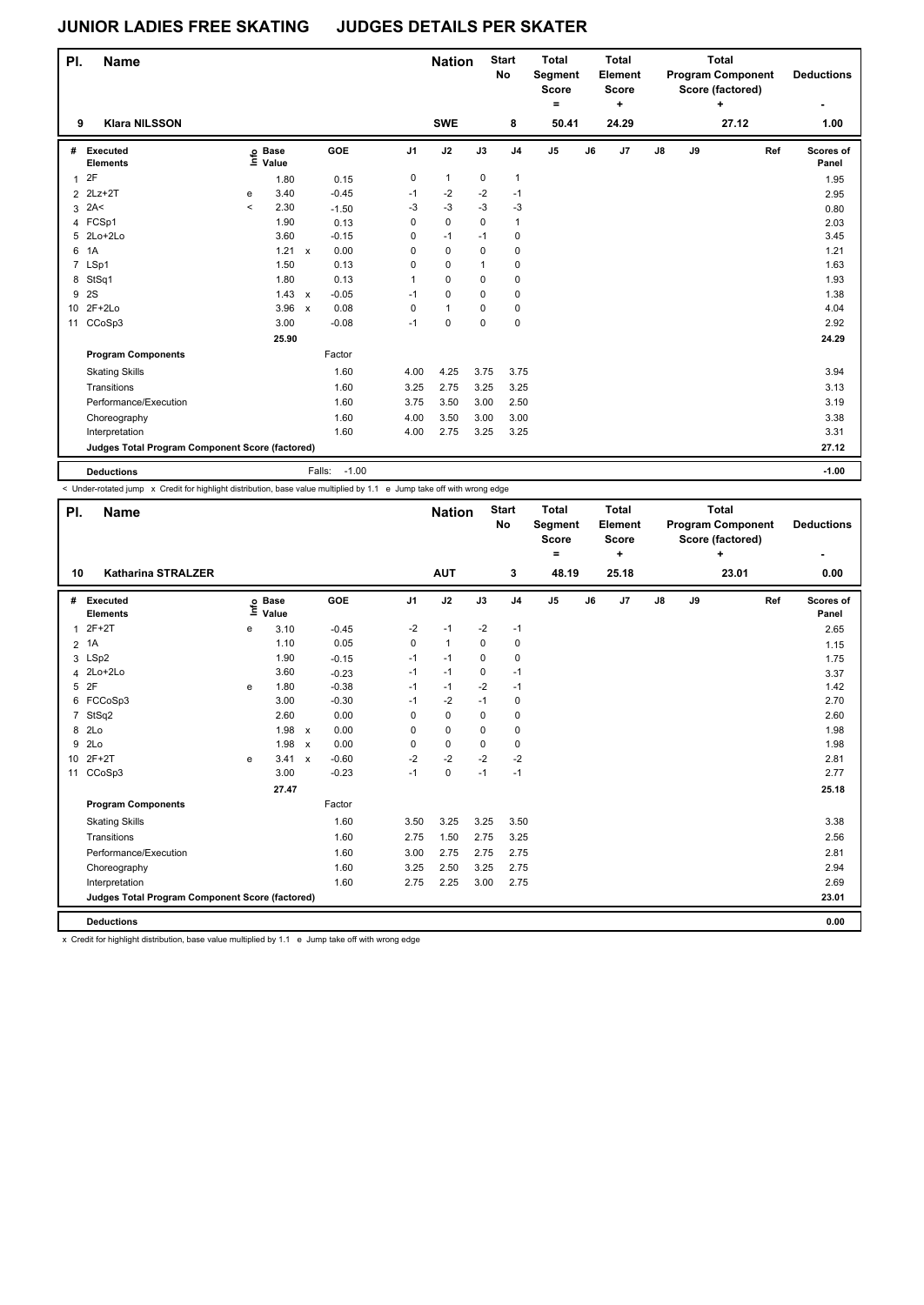| PI. | <b>Name</b>                                     |         |                      |              |                   |                | <b>Nation</b> |      | <b>Start</b><br>No | <b>Total</b><br>Segment<br><b>Score</b><br>$=$ |    | <b>Total</b><br>Element<br><b>Score</b><br>٠ |    |    | <b>Total</b><br><b>Program Component</b><br>Score (factored)<br>٠ |     | <b>Deductions</b>  |
|-----|-------------------------------------------------|---------|----------------------|--------------|-------------------|----------------|---------------|------|--------------------|------------------------------------------------|----|----------------------------------------------|----|----|-------------------------------------------------------------------|-----|--------------------|
| 9   | <b>Klara NILSSON</b>                            |         |                      |              |                   |                | <b>SWE</b>    |      | 8                  | 50.41                                          |    | 24.29                                        |    |    | 27.12                                                             |     | 1.00               |
| #   | Executed<br><b>Elements</b>                     | lnfo    | <b>Base</b><br>Value |              | GOE               | J <sub>1</sub> | J2            | J3   | J <sub>4</sub>     | J <sub>5</sub>                                 | J6 | J7                                           | J8 | J9 |                                                                   | Ref | Scores of<br>Panel |
| 1   | 2F                                              |         | 1.80                 |              | 0.15              | 0              | $\mathbf{1}$  | 0    | 1                  |                                                |    |                                              |    |    |                                                                   |     | 1.95               |
| 2   | $2Lz+2T$                                        | e       | 3.40                 |              | $-0.45$           | $-1$           | $-2$          | $-2$ | $-1$               |                                                |    |                                              |    |    |                                                                   |     | 2.95               |
| 3   | 2A<                                             | $\prec$ | 2.30                 |              | $-1.50$           | $-3$           | $-3$          | $-3$ | $-3$               |                                                |    |                                              |    |    |                                                                   |     | 0.80               |
|     | 4 FCSp1                                         |         | 1.90                 |              | 0.13              | 0              | 0             | 0    | 1                  |                                                |    |                                              |    |    |                                                                   |     | 2.03               |
|     | 5 2Lo+2Lo                                       |         | 3.60                 |              | $-0.15$           | 0              | $-1$          | $-1$ | 0                  |                                                |    |                                              |    |    |                                                                   |     | 3.45               |
| 6   | 1A                                              |         | 1.21                 | $\mathsf{x}$ | 0.00              | 0              | $\mathbf 0$   | 0    | 0                  |                                                |    |                                              |    |    |                                                                   |     | 1.21               |
|     | 7 LSp1                                          |         | 1.50                 |              | 0.13              | 0              | 0             | 1    | 0                  |                                                |    |                                              |    |    |                                                                   |     | 1.63               |
| 8   | StSq1                                           |         | 1.80                 |              | 0.13              | 1              | $\mathbf 0$   | 0    | 0                  |                                                |    |                                              |    |    |                                                                   |     | 1.93               |
| 9   | 2S                                              |         | 1.43                 | $\mathsf{x}$ | $-0.05$           | $-1$           | 0             | 0    | 0                  |                                                |    |                                              |    |    |                                                                   |     | 1.38               |
| 10  | $2F+2Lo$                                        |         | 3.96                 | $\mathsf{x}$ | 0.08              | 0              | $\mathbf{1}$  | 0    | 0                  |                                                |    |                                              |    |    |                                                                   |     | 4.04               |
| 11  | CCoSp3                                          |         | 3.00                 |              | $-0.08$           | $-1$           | 0             | 0    | 0                  |                                                |    |                                              |    |    |                                                                   |     | 2.92               |
|     |                                                 |         | 25.90                |              |                   |                |               |      |                    |                                                |    |                                              |    |    |                                                                   |     | 24.29              |
|     | <b>Program Components</b>                       |         |                      |              | Factor            |                |               |      |                    |                                                |    |                                              |    |    |                                                                   |     |                    |
|     | <b>Skating Skills</b>                           |         |                      |              | 1.60              | 4.00           | 4.25          | 3.75 | 3.75               |                                                |    |                                              |    |    |                                                                   |     | 3.94               |
|     | Transitions                                     |         |                      |              | 1.60              | 3.25           | 2.75          | 3.25 | 3.25               |                                                |    |                                              |    |    |                                                                   |     | 3.13               |
|     | Performance/Execution                           |         |                      |              | 1.60              | 3.75           | 3.50          | 3.00 | 2.50               |                                                |    |                                              |    |    |                                                                   |     | 3.19               |
|     | Choreography                                    |         |                      |              | 1.60              | 4.00           | 3.50          | 3.00 | 3.00               |                                                |    |                                              |    |    |                                                                   |     | 3.38               |
|     | Interpretation                                  |         |                      |              | 1.60              | 4.00           | 2.75          | 3.25 | 3.25               |                                                |    |                                              |    |    |                                                                   |     | 3.31               |
|     | Judges Total Program Component Score (factored) |         |                      |              |                   |                |               |      |                    |                                                |    |                                              |    |    |                                                                   |     | 27.12              |
|     | <b>Deductions</b>                               |         |                      |              | $-1.00$<br>Falls: |                |               |      |                    |                                                |    |                                              |    |    |                                                                   |     | $-1.00$            |

< Under-rotated jump x Credit for highlight distribution, base value multiplied by 1.1 e Jump take off with wrong edge

| PI.            | <b>Name</b>                                     |   |                            |              |            |                | <b>Nation</b> |             | <b>Start</b><br><b>No</b> | <b>Total</b><br>Segment<br><b>Score</b><br>$=$ |    | <b>Total</b><br>Element<br><b>Score</b><br>٠ |    |    | <b>Total</b><br><b>Program Component</b><br>Score (factored)<br>٠ |     | <b>Deductions</b>  |
|----------------|-------------------------------------------------|---|----------------------------|--------------|------------|----------------|---------------|-------------|---------------------------|------------------------------------------------|----|----------------------------------------------|----|----|-------------------------------------------------------------------|-----|--------------------|
| 10             | <b>Katharina STRALZER</b>                       |   |                            |              |            |                | <b>AUT</b>    |             | 3                         | 48.19                                          |    | 25.18                                        |    |    | 23.01                                                             |     | 0.00               |
| #              | Executed<br><b>Elements</b>                     |   | e Base<br>E Value<br>Value |              | <b>GOE</b> | J <sub>1</sub> | J2            | J3          | J <sub>4</sub>            | J <sub>5</sub>                                 | J6 | J7                                           | J8 | J9 |                                                                   | Ref | Scores of<br>Panel |
| 1              | $2F+2T$                                         | е | 3.10                       |              | $-0.45$    | $-2$           | $-1$          | $-2$        | $-1$                      |                                                |    |                                              |    |    |                                                                   |     | 2.65               |
| $\overline{2}$ | 1A                                              |   | 1.10                       |              | 0.05       | 0              | $\mathbf{1}$  | 0           | 0                         |                                                |    |                                              |    |    |                                                                   |     | 1.15               |
|                | 3 LSp2                                          |   | 1.90                       |              | $-0.15$    | $-1$           | $-1$          | 0           | 0                         |                                                |    |                                              |    |    |                                                                   |     | 1.75               |
| 4              | 2Lo+2Lo                                         |   | 3.60                       |              | $-0.23$    | $-1$           | $-1$          | 0           | $-1$                      |                                                |    |                                              |    |    |                                                                   |     | 3.37               |
| 5              | 2F                                              | e | 1.80                       |              | $-0.38$    | $-1$           | $-1$          | $-2$        | -1                        |                                                |    |                                              |    |    |                                                                   |     | 1.42               |
| 6              | FCCoSp3                                         |   | 3.00                       |              | $-0.30$    | $-1$           | $-2$          | $-1$        | 0                         |                                                |    |                                              |    |    |                                                                   |     | 2.70               |
| $\overline{7}$ | StSq2                                           |   | 2.60                       |              | 0.00       | 0              | $\mathbf 0$   | $\Omega$    | $\pmb{0}$                 |                                                |    |                                              |    |    |                                                                   |     | 2.60               |
| 8              | 2Lo                                             |   | 1.98                       | $\mathsf{x}$ | 0.00       | 0              | $\mathbf 0$   | $\mathbf 0$ | $\pmb{0}$                 |                                                |    |                                              |    |    |                                                                   |     | 1.98               |
| 9              | 2Lo                                             |   | 1.98                       | $\mathbf{x}$ | 0.00       | 0              | $\mathbf 0$   | $\Omega$    | $\mathbf 0$               |                                                |    |                                              |    |    |                                                                   |     | 1.98               |
| 10             | $2F+2T$                                         | e | 3.41                       | $\mathsf{x}$ | $-0.60$    | $-2$           | $-2$          | $-2$        | $-2$                      |                                                |    |                                              |    |    |                                                                   |     | 2.81               |
| 11             | CCoSp3                                          |   | 3.00                       |              | $-0.23$    | $-1$           | $\mathbf 0$   | $-1$        | $-1$                      |                                                |    |                                              |    |    |                                                                   |     | 2.77               |
|                |                                                 |   | 27.47                      |              |            |                |               |             |                           |                                                |    |                                              |    |    |                                                                   |     | 25.18              |
|                | <b>Program Components</b>                       |   |                            |              | Factor     |                |               |             |                           |                                                |    |                                              |    |    |                                                                   |     |                    |
|                | <b>Skating Skills</b>                           |   |                            |              | 1.60       | 3.50           | 3.25          | 3.25        | 3.50                      |                                                |    |                                              |    |    |                                                                   |     | 3.38               |
|                | Transitions                                     |   |                            |              | 1.60       | 2.75           | 1.50          | 2.75        | 3.25                      |                                                |    |                                              |    |    |                                                                   |     | 2.56               |
|                | Performance/Execution                           |   |                            |              | 1.60       | 3.00           | 2.75          | 2.75        | 2.75                      |                                                |    |                                              |    |    |                                                                   |     | 2.81               |
|                | Choreography                                    |   |                            |              | 1.60       | 3.25           | 2.50          | 3.25        | 2.75                      |                                                |    |                                              |    |    |                                                                   |     | 2.94               |
|                | Interpretation                                  |   |                            |              | 1.60       | 2.75           | 2.25          | 3.00        | 2.75                      |                                                |    |                                              |    |    |                                                                   |     | 2.69               |
|                | Judges Total Program Component Score (factored) |   |                            |              |            |                |               |             |                           |                                                |    |                                              |    |    |                                                                   |     | 23.01              |
|                | <b>Deductions</b>                               |   |                            |              |            |                |               |             |                           |                                                |    |                                              |    |    |                                                                   |     | 0.00               |

x Credit for highlight distribution, base value multiplied by 1.1 e Jump take off with wrong edge